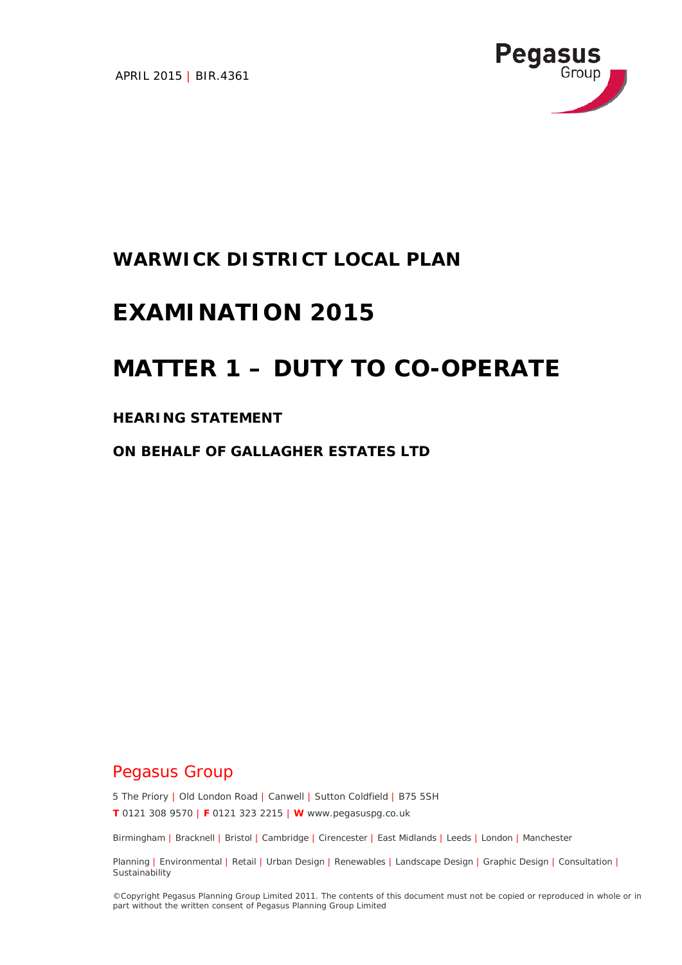APRIL 2015 | BIR.4361



## **WARWICK DISTRICT LOCAL PLAN**

# **EXAMINATION 2015**

# **MATTER 1 – DUTY TO CO-OPERATE**

### **HEARING STATEMENT**

**ON BEHALF OF GALLAGHER ESTATES LTD**

## Pegasus Group

5 The Priory | Old London Road | Canwell | Sutton Coldfield | B75 5SH

**T** 0121 308 9570 | **F** 0121 323 2215 | **W** www.pegasuspg.co.uk

Birmingham | Bracknell | Bristol | Cambridge | Cirencester | East Midlands | Leeds | London | Manchester

Planning | Environmental | Retail | Urban Design | Renewables | Landscape Design | Graphic Design | Consultation | **Sustainability** 

©Copyright Pegasus Planning Group Limited 2011. The contents of this document must not be copied or reproduced in whole or in part without the written consent of Pegasus Planning Group Limited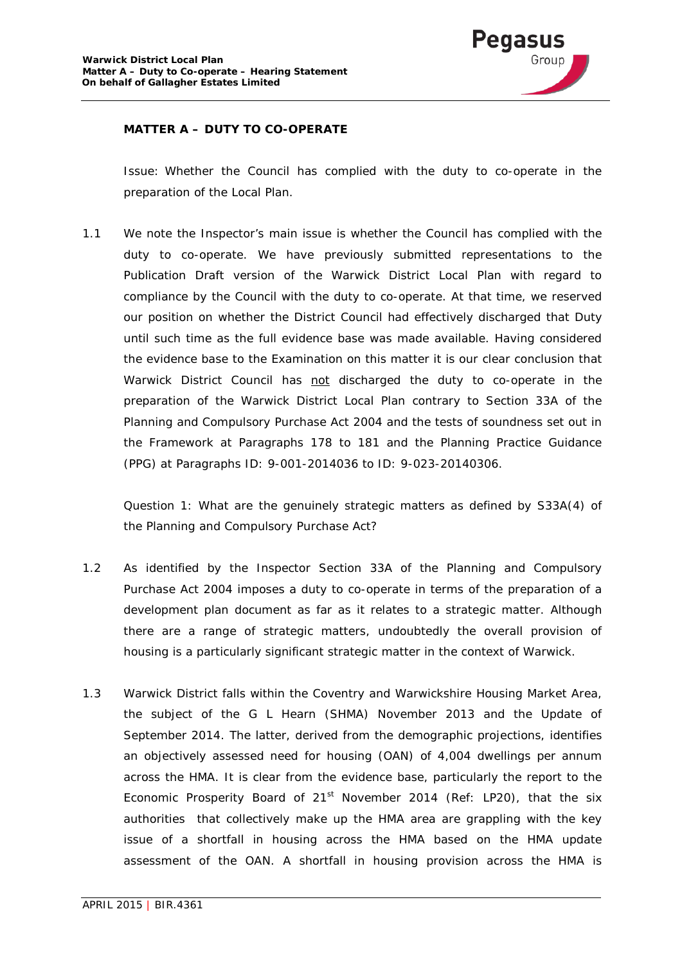

### **MATTER A – DUTY TO CO-OPERATE**

*Issue: Whether the Council has complied with the duty to co-operate in the preparation of the Local Plan.* 

1.1 We note the Inspector's main issue is whether the Council has complied with the duty to co-operate. We have previously submitted representations to the Publication Draft version of the Warwick District Local Plan with regard to compliance by the Council with the duty to co-operate. At that time, we reserved our position on whether the District Council had effectively discharged that Duty until such time as the full evidence base was made available. Having considered the evidence base to the Examination on this matter it is our clear conclusion that Warwick District Council has not discharged the duty to co-operate in the preparation of the Warwick District Local Plan contrary to Section 33A of the Planning and Compulsory Purchase Act 2004 and the tests of soundness set out in the Framework at Paragraphs 178 to 181 and the Planning Practice Guidance (PPG) at Paragraphs ID: 9-001-2014036 to ID: 9-023-20140306.

*Question 1: What are the genuinely strategic matters as defined by S33A(4) of the Planning and Compulsory Purchase Act?*

- 1.2 As identified by the Inspector Section 33A of the Planning and Compulsory Purchase Act 2004 imposes a duty to co-operate in terms of the preparation of a development plan document as far as it relates to a strategic matter. Although there are a range of strategic matters, undoubtedly the overall provision of housing is a particularly significant strategic matter in the context of Warwick.
- 1.3 Warwick District falls within the Coventry and Warwickshire Housing Market Area, the subject of the G L Hearn (SHMA) November 2013 and the Update of September 2014. The latter, derived from the demographic projections, identifies an objectively assessed need for housing (OAN) of 4,004 dwellings per annum across the HMA. It is clear from the evidence base, particularly the report to the Economic Prosperity Board of  $21<sup>st</sup>$  November 2014 (Ref: LP20), that the six authorities that collectively make up the HMA area are grappling with the key issue of a shortfall in housing across the HMA based on the HMA update assessment of the OAN. A shortfall in housing provision across the HMA is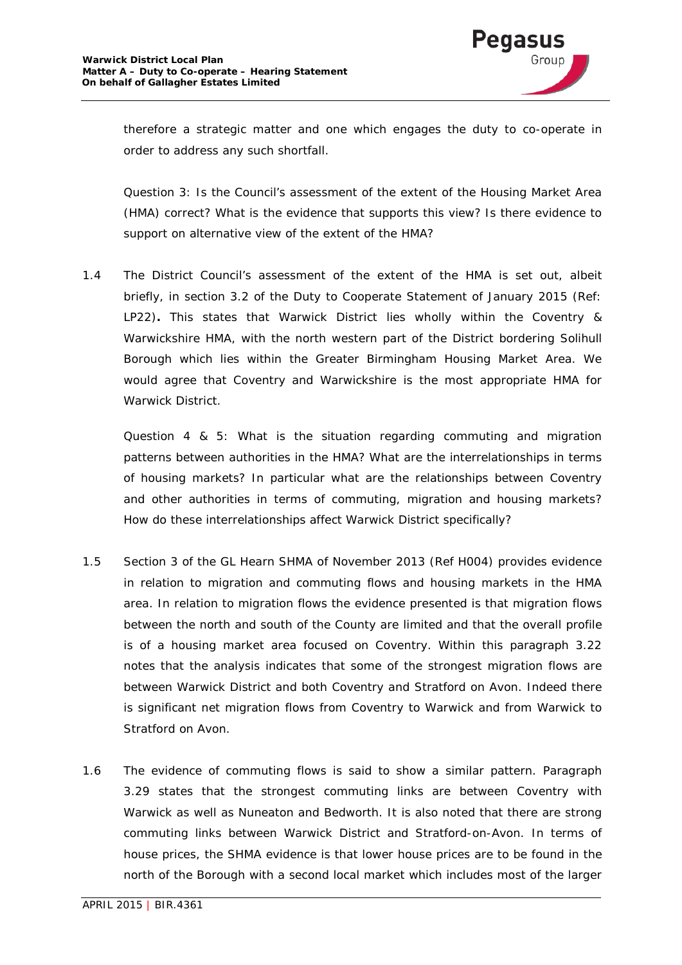

therefore a strategic matter and one which engages the duty to co-operate in order to address any such shortfall.

*Question 3: Is the Council's assessment of the extent of the Housing Market Area (HMA) correct? What is the evidence that supports this view? Is there evidence to support on alternative view of the extent of the HMA?*

1.4 The District Council's assessment of the extent of the HMA is set out, albeit briefly, in section 3.2 of the Duty to Cooperate Statement of January 2015 (Ref: LP22)**.** This states that Warwick District lies wholly within the Coventry & Warwickshire HMA, with the north western part of the District bordering Solihull Borough which lies within the Greater Birmingham Housing Market Area. We would agree that Coventry and Warwickshire is the most appropriate HMA for Warwick District.

*Question 4 & 5: What is the situation regarding commuting and migration patterns between authorities in the HMA? What are the interrelationships in terms of housing markets? In particular what are the relationships between Coventry and other authorities in terms of commuting, migration and housing markets? How do these interrelationships affect Warwick District specifically?*

- 1.5 Section 3 of the GL Hearn SHMA of November 2013 (Ref H004) provides evidence in relation to migration and commuting flows and housing markets in the HMA area. In relation to migration flows the evidence presented is that migration flows between the north and south of the County are limited and that the overall profile is of a housing market area focused on Coventry. Within this paragraph 3.22 notes that the analysis indicates that some of the strongest migration flows are between Warwick District and both Coventry and Stratford on Avon. Indeed there is significant net migration flows from Coventry to Warwick and from Warwick to Stratford on Avon.
- 1.6 The evidence of commuting flows is said to show a similar pattern. Paragraph 3.29 states that the strongest commuting links are between Coventry with Warwick as well as Nuneaton and Bedworth. It is also noted that there are strong commuting links between Warwick District and Stratford-on-Avon. In terms of house prices, the SHMA evidence is that lower house prices are to be found in the north of the Borough with a second local market which includes most of the larger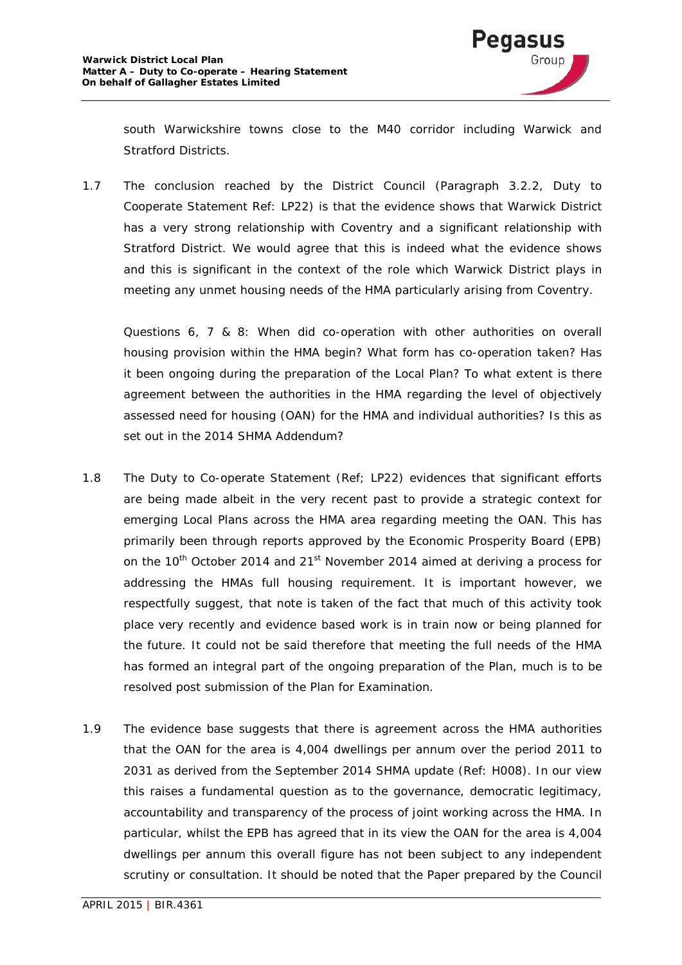

south Warwickshire towns close to the M40 corridor including Warwick and Stratford Districts.

1.7 The conclusion reached by the District Council (Paragraph 3.2.2, Duty to Cooperate Statement Ref: LP22) is that the evidence shows that Warwick District has a very strong relationship with Coventry and a significant relationship with Stratford District. We would agree that this is indeed what the evidence shows and this is significant in the context of the role which Warwick District plays in meeting any unmet housing needs of the HMA particularly arising from Coventry.

*Questions 6, 7 & 8: When did co-operation with other authorities on overall housing provision within the HMA begin? What form has co-operation taken? Has it been ongoing during the preparation of the Local Plan? To what extent is there agreement between the authorities in the HMA regarding the level of objectively assessed need for housing (OAN) for the HMA and individual authorities? Is this as set out in the 2014 SHMA Addendum?*

- 1.8 The Duty to Co-operate Statement (Ref; LP22) evidences that significant efforts are being made albeit in the very recent past to provide a strategic context for emerging Local Plans across the HMA area regarding meeting the OAN. This has primarily been through reports approved by the Economic Prosperity Board (EPB) on the 10<sup>th</sup> October 2014 and 21<sup>st</sup> November 2014 aimed at deriving a process for addressing the HMAs full housing requirement. It is important however, we respectfully suggest, that note is taken of the fact that much of this activity took place very recently and evidence based work is in train now or being planned for the future. It could not be said therefore that meeting the full needs of the HMA has formed an integral part of the ongoing preparation of the Plan, much is to be resolved post submission of the Plan for Examination.
- 1.9 The evidence base suggests that there is agreement across the HMA authorities that the OAN for the area is 4,004 dwellings per annum over the period 2011 to 2031 as derived from the September 2014 SHMA update (Ref: H008). In our view this raises a fundamental question as to the governance, democratic legitimacy, accountability and transparency of the process of joint working across the HMA. In particular, whilst the EPB has agreed that in its view the OAN for the area is 4,004 dwellings per annum this overall figure has not been subject to any independent scrutiny or consultation. It should be noted that the Paper prepared by the Council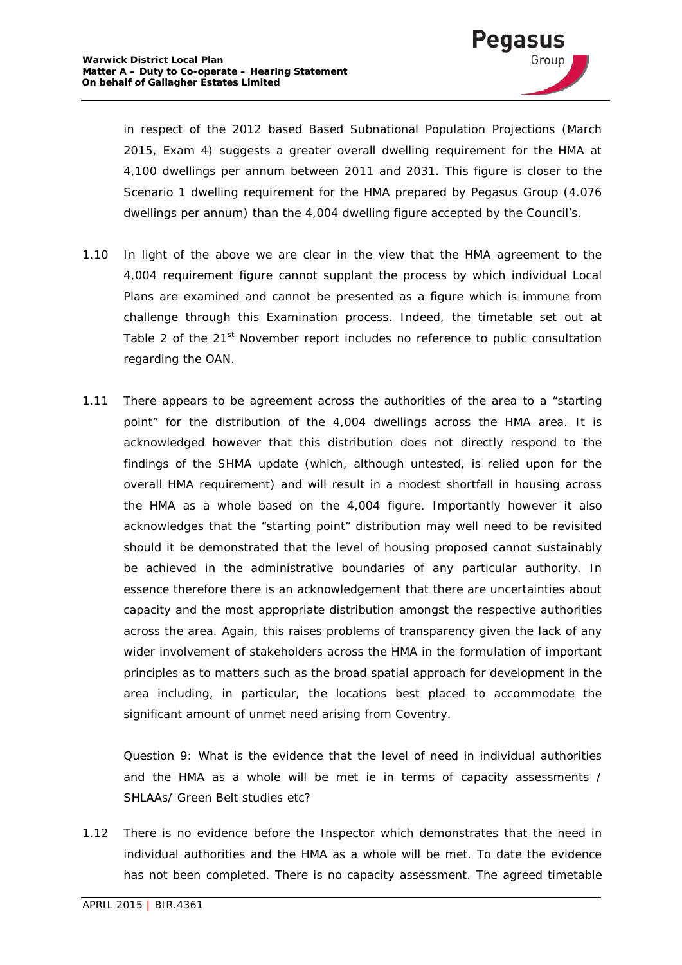

in respect of the 2012 based Based Subnational Population Projections (March 2015, Exam 4) suggests a greater overall dwelling requirement for the HMA at 4,100 dwellings per annum between 2011 and 2031. This figure is closer to the Scenario 1 dwelling requirement for the HMA prepared by Pegasus Group (4.076 dwellings per annum) than the 4,004 dwelling figure accepted by the Council's.

- 1.10 In light of the above we are clear in the view that the HMA agreement to the 4,004 requirement figure cannot supplant the process by which individual Local Plans are examined and cannot be presented as a figure which is immune from challenge through this Examination process. Indeed, the timetable set out at Table 2 of the 21<sup>st</sup> November report includes no reference to public consultation regarding the OAN.
- 1.11 There appears to be agreement across the authorities of the area to a "starting point" for the distribution of the 4,004 dwellings across the HMA area. It is acknowledged however that this distribution does not directly respond to the findings of the SHMA update (which, although untested, is relied upon for the overall HMA requirement) and will result in a modest shortfall in housing across the HMA as a whole based on the 4,004 figure. Importantly however it also acknowledges that the "starting point" distribution may well need to be revisited should it be demonstrated that the level of housing proposed cannot sustainably be achieved in the administrative boundaries of any particular authority. In essence therefore there is an acknowledgement that there are uncertainties about capacity and the most appropriate distribution amongst the respective authorities across the area. Again, this raises problems of transparency given the lack of any wider involvement of stakeholders across the HMA in the formulation of important principles as to matters such as the broad spatial approach for development in the area including, in particular, the locations best placed to accommodate the significant amount of unmet need arising from Coventry.

*Question 9: What is the evidence that the level of need in individual authorities and the HMA as a whole will be met ie in terms of capacity assessments / SHLAAs/ Green Belt studies etc?*

1.12 There is no evidence before the Inspector which demonstrates that the need in individual authorities and the HMA as a whole will be met. To date the evidence has not been completed. There is no capacity assessment. The agreed timetable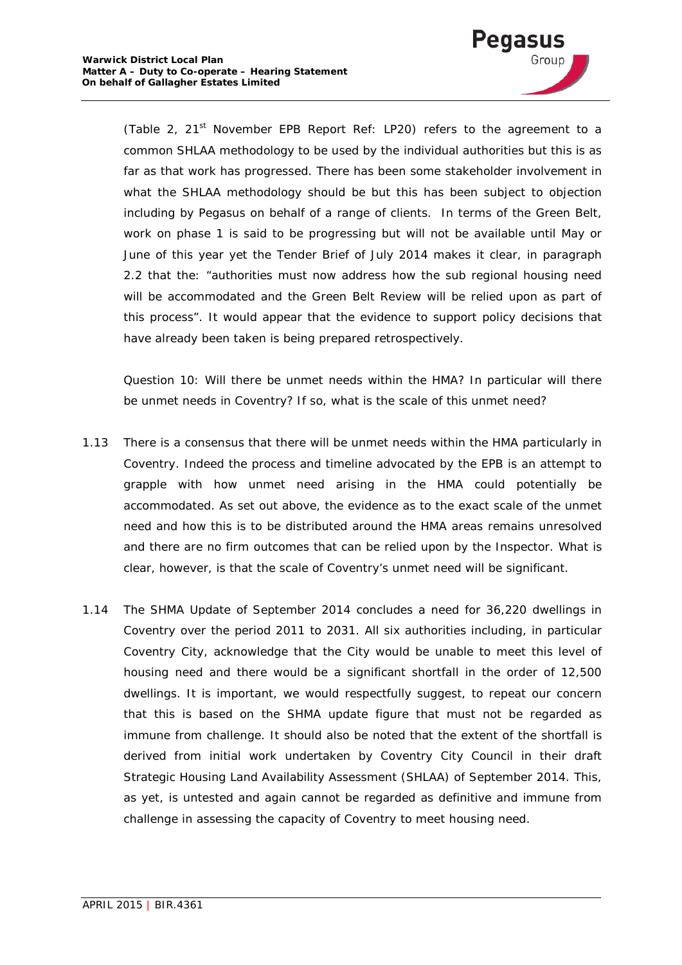

(Table 2, 21<sup>st</sup> November EPB Report Ref: LP20) refers to the agreement to a common SHLAA methodology to be used by the individual authorities but this is as far as that work has progressed. There has been some stakeholder involvement in what the SHLAA methodology should be but this has been subject to objection including by Pegasus on behalf of a range of clients. In terms of the Green Belt, work on phase 1 is said to be progressing but will not be available until May or June of this year yet the Tender Brief of July 2014 makes it clear, in paragraph 2.2 that the: *"authorities must now address how the sub regional housing need*  will be accommodated and the Green Belt Review will be relied upon as part of *this process"*. It would appear that the evidence to support policy decisions that have already been taken is being prepared retrospectively.

*Question 10: Will there be unmet needs within the HMA? In particular will there be unmet needs in Coventry? If so, what is the scale of this unmet need?*

- 1.13 There is a consensus that there will be unmet needs within the HMA particularly in Coventry. Indeed the process and timeline advocated by the EPB is an attempt to grapple with how unmet need arising in the HMA could potentially be accommodated. As set out above, the evidence as to the exact scale of the unmet need and how this is to be distributed around the HMA areas remains unresolved and there are no firm outcomes that can be relied upon by the Inspector. What is clear, however, is that the scale of Coventry's unmet need will be significant.
- 1.14 The SHMA Update of September 2014 concludes a need for 36,220 dwellings in Coventry over the period 2011 to 2031. All six authorities including, in particular Coventry City, acknowledge that the City would be unable to meet this level of housing need and there would be a significant shortfall in the order of 12,500 dwellings. It is important, we would respectfully suggest, to repeat our concern that this is based on the SHMA update figure that must not be regarded as immune from challenge. It should also be noted that the extent of the shortfall is derived from initial work undertaken by Coventry City Council in their draft Strategic Housing Land Availability Assessment (SHLAA) of September 2014. This, as yet, is untested and again cannot be regarded as definitive and immune from challenge in assessing the capacity of Coventry to meet housing need.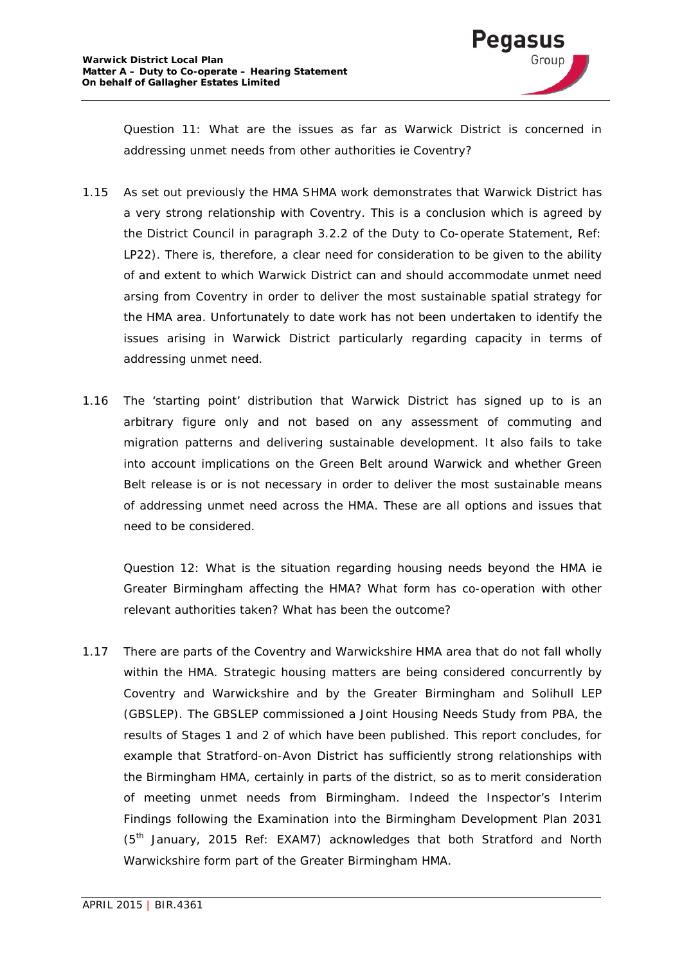

*Question 11: What are the issues as far as Warwick District is concerned in addressing unmet needs from other authorities ie Coventry?*

- 1.15 As set out previously the HMA SHMA work demonstrates that Warwick District has a very strong relationship with Coventry. This is a conclusion which is agreed by the District Council in paragraph 3.2.2 of the Duty to Co-operate Statement, Ref: LP22). There is, therefore, a clear need for consideration to be given to the ability of and extent to which Warwick District can and should accommodate unmet need arsing from Coventry in order to deliver the most sustainable spatial strategy for the HMA area. Unfortunately to date work has not been undertaken to identify the issues arising in Warwick District particularly regarding capacity in terms of addressing unmet need.
- 1.16 The 'starting point' distribution that Warwick District has signed up to is an arbitrary figure only and not based on any assessment of commuting and migration patterns and delivering sustainable development. It also fails to take into account implications on the Green Belt around Warwick and whether Green Belt release is or is not necessary in order to deliver the most sustainable means of addressing unmet need across the HMA. These are all options and issues that need to be considered.

*Question 12: What is the situation regarding housing needs beyond the HMA ie Greater Birmingham affecting the HMA? What form has co-operation with other relevant authorities taken? What has been the outcome?*

1.17 There are parts of the Coventry and Warwickshire HMA area that do not fall wholly within the HMA. Strategic housing matters are being considered concurrently by Coventry and Warwickshire and by the Greater Birmingham and Solihull LEP (GBSLEP). The GBSLEP commissioned a Joint Housing Needs Study from PBA, the results of Stages 1 and 2 of which have been published. This report concludes, for example that Stratford-on-Avon District has sufficiently strong relationships with the Birmingham HMA, certainly in parts of the district, so as to merit consideration of meeting unmet needs from Birmingham. Indeed the Inspector's Interim Findings following the Examination into the Birmingham Development Plan 2031 (5th January, 2015 Ref: EXAM7) acknowledges that both Stratford and North Warwickshire form part of the Greater Birmingham HMA.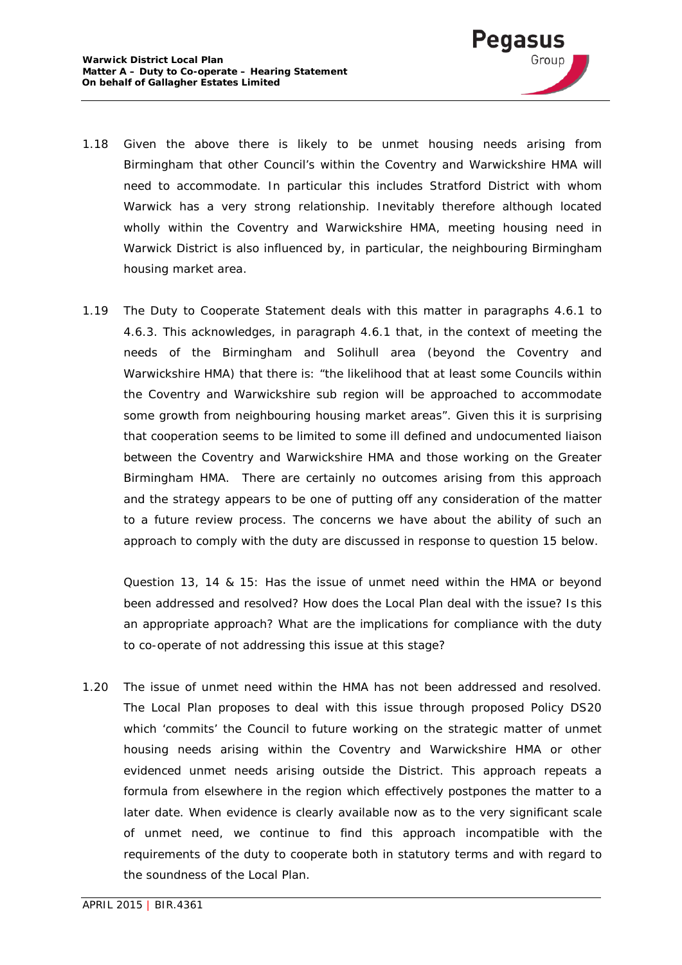

- 1.18 Given the above there is likely to be unmet housing needs arising from Birmingham that other Council's within the Coventry and Warwickshire HMA will need to accommodate. In particular this includes Stratford District with whom Warwick has a very strong relationship. Inevitably therefore although located wholly within the Coventry and Warwickshire HMA, meeting housing need in Warwick District is also influenced by, in particular, the neighbouring Birmingham housing market area.
- 1.19 The Duty to Cooperate Statement deals with this matter in paragraphs 4.6.1 to 4.6.3. This acknowledges, in paragraph 4.6.1 that, in the context of meeting the needs of the Birmingham and Solihull area (beyond the Coventry and Warwickshire HMA) that there is: *"the likelihood that at least some Councils within the Coventry and Warwickshire sub region will be approached to accommodate some growth from neighbouring housing market areas"*. Given this it is surprising that cooperation seems to be limited to some ill defined and undocumented liaison between the Coventry and Warwickshire HMA and those working on the Greater Birmingham HMA. There are certainly no outcomes arising from this approach and the strategy appears to be one of putting off any consideration of the matter to a future review process. The concerns we have about the ability of such an approach to comply with the duty are discussed in response to question 15 below.

*Question 13, 14 & 15: Has the issue of unmet need within the HMA or beyond been addressed and resolved? How does the Local Plan deal with the issue? Is this an appropriate approach? What are the implications for compliance with the duty to co-operate of not addressing this issue at this stage?*

1.20 The issue of unmet need within the HMA has not been addressed and resolved. The Local Plan proposes to deal with this issue through proposed Policy DS20 which 'commits' the Council to future working on the strategic matter of unmet housing needs arising within the Coventry and Warwickshire HMA or other evidenced unmet needs arising outside the District. This approach repeats a formula from elsewhere in the region which effectively postpones the matter to a later date. When evidence is clearly available now as to the very significant scale of unmet need, we continue to find this approach incompatible with the requirements of the duty to cooperate both in statutory terms and with regard to the soundness of the Local Plan.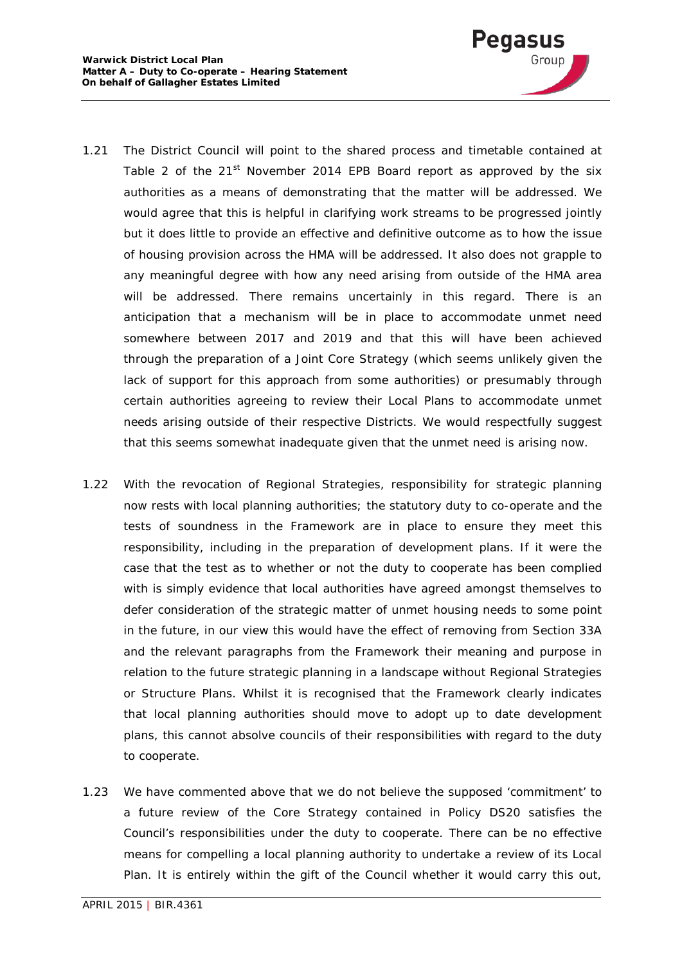

- 1.21 The District Council will point to the shared process and timetable contained at Table 2 of the  $21^{st}$  November 2014 EPB Board report as approved by the six authorities as a means of demonstrating that the matter will be addressed. We would agree that this is helpful in clarifying work streams to be progressed jointly but it does little to provide an effective and definitive outcome as to how the issue of housing provision across the HMA will be addressed. It also does not grapple to any meaningful degree with how any need arising from outside of the HMA area will be addressed. There remains uncertainly in this regard. There is an anticipation that a mechanism will be in place to accommodate unmet need somewhere between 2017 and 2019 and that this will have been achieved through the preparation of a Joint Core Strategy (which seems unlikely given the lack of support for this approach from some authorities) or presumably through certain authorities agreeing to review their Local Plans to accommodate unmet needs arising outside of their respective Districts. We would respectfully suggest that this seems somewhat inadequate given that the unmet need is arising now.
- 1.22 With the revocation of Regional Strategies, responsibility for strategic planning now rests with local planning authorities; the statutory duty to co-operate and the tests of soundness in the Framework are in place to ensure they meet this responsibility, including in the preparation of development plans. If it were the case that the test as to whether or not the duty to cooperate has been complied with is simply evidence that local authorities have agreed amongst themselves to defer consideration of the strategic matter of unmet housing needs to some point in the future, in our view this would have the effect of removing from Section 33A and the relevant paragraphs from the Framework their meaning and purpose in relation to the future strategic planning in a landscape without Regional Strategies or Structure Plans. Whilst it is recognised that the Framework clearly indicates that local planning authorities should move to adopt up to date development plans, this cannot absolve councils of their responsibilities with regard to the duty to cooperate.
- 1.23 We have commented above that we do not believe the supposed 'commitment' to a future review of the Core Strategy contained in Policy DS20 satisfies the Council's responsibilities under the duty to cooperate. There can be no effective means for compelling a local planning authority to undertake a review of its Local Plan. It is entirely within the gift of the Council whether it would carry this out,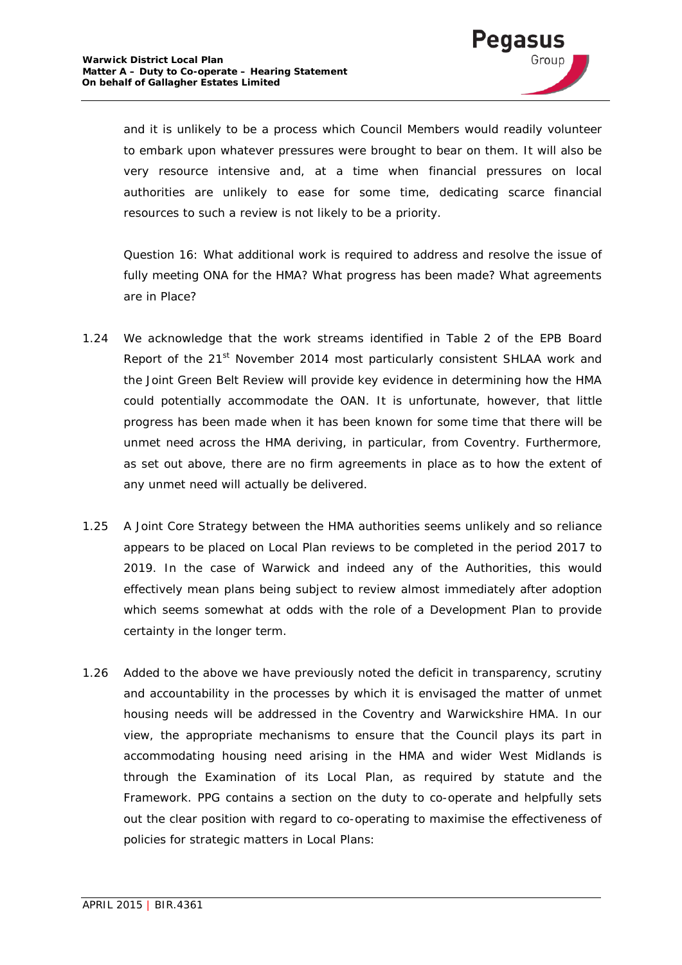

and it is unlikely to be a process which Council Members would readily volunteer to embark upon whatever pressures were brought to bear on them. It will also be very resource intensive and, at a time when financial pressures on local authorities are unlikely to ease for some time, dedicating scarce financial resources to such a review is not likely to be a priority.

*Question 16: What additional work is required to address and resolve the issue of*  fully meeting ONA for the HMA? What progress has been made? What agreements *are in Place?*

- 1.24 We acknowledge that the work streams identified in Table 2 of the EPB Board Report of the 21<sup>st</sup> November 2014 most particularly consistent SHLAA work and the Joint Green Belt Review will provide key evidence in determining how the HMA could potentially accommodate the OAN. It is unfortunate, however, that little progress has been made when it has been known for some time that there will be unmet need across the HMA deriving, in particular, from Coventry. Furthermore, as set out above, there are no firm agreements in place as to how the extent of any unmet need will actually be delivered.
- 1.25 A Joint Core Strategy between the HMA authorities seems unlikely and so reliance appears to be placed on Local Plan reviews to be completed in the period 2017 to 2019. In the case of Warwick and indeed any of the Authorities, this would effectively mean plans being subject to review almost immediately after adoption which seems somewhat at odds with the role of a Development Plan to provide certainty in the longer term.
- 1.26 Added to the above we have previously noted the deficit in transparency, scrutiny and accountability in the processes by which it is envisaged the matter of unmet housing needs will be addressed in the Coventry and Warwickshire HMA. In our view, the appropriate mechanisms to ensure that the Council plays its part in accommodating housing need arising in the HMA and wider West Midlands is through the Examination of its Local Plan, as required by statute and the Framework. PPG contains a section on the duty to co-operate and helpfully sets out the clear position with regard to co-operating to maximise the effectiveness of policies for strategic matters in Local Plans: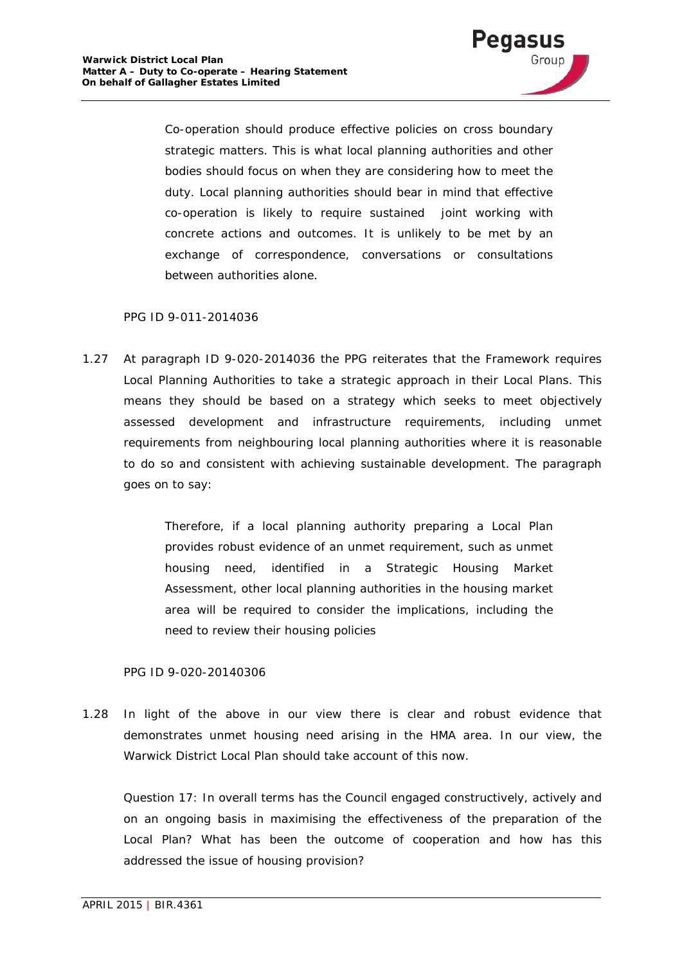

*Co-operation should produce effective policies on cross boundary strategic matters. This is what local planning authorities and other bodies should focus on when they are considering how to meet the duty. Local planning authorities should bear in mind that effective co-operation is likely to require sustained joint working with concrete actions and outcomes. It is unlikely to be met by an exchange of correspondence, conversations or consultations between authorities alone.*

#### PPG ID 9-011-2014036

1.27 At paragraph ID 9-020-2014036 the PPG reiterates that the Framework requires Local Planning Authorities to take a strategic approach in their Local Plans. This means they should be based on a strategy which seeks to meet objectively assessed development and infrastructure requirements, including unmet requirements from neighbouring local planning authorities where it is reasonable to do so and consistent with achieving sustainable development. The paragraph goes on to say:

> *Therefore, if a local planning authority preparing a Local Plan provides robust evidence of an unmet requirement, such as unmet housing need, identified in a Strategic Housing Market Assessment, other local planning authorities in the housing market area will be required to consider the implications, including the need to review their housing policies*

#### PPG ID 9-020-20140306

1.28 In light of the above in our view there is clear and robust evidence that demonstrates unmet housing need arising in the HMA area. In our view, the Warwick District Local Plan should take account of this now.

*Question 17: In overall terms has the Council engaged constructively, actively and on an ongoing basis in maximising the effectiveness of the preparation of the Local Plan? What has been the outcome of cooperation and how has this addressed the issue of housing provision?*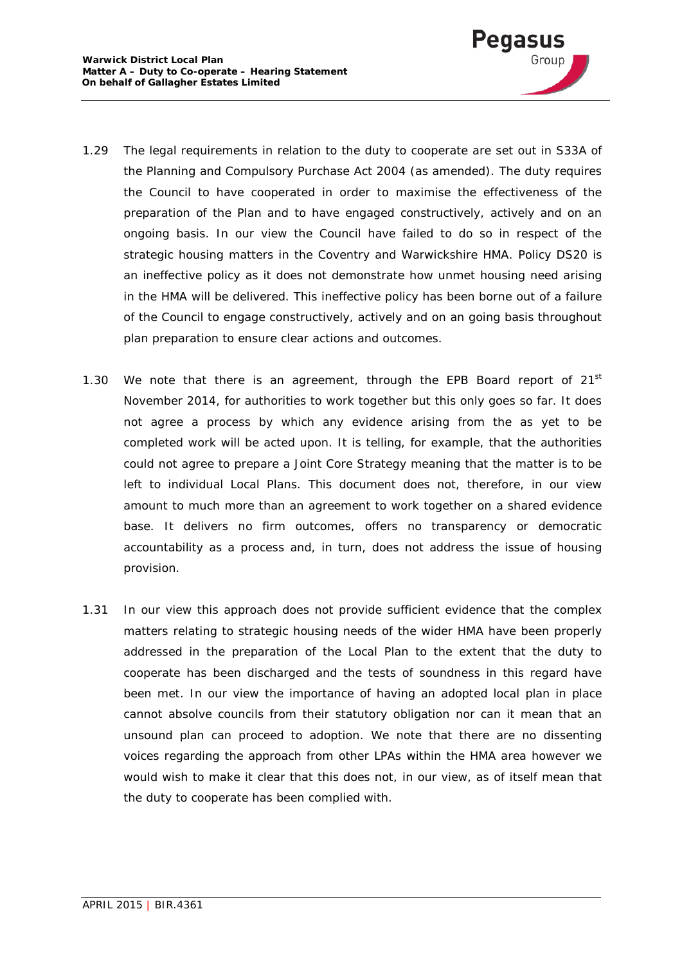

- 1.29 The legal requirements in relation to the duty to cooperate are set out in S33A of the Planning and Compulsory Purchase Act 2004 (as amended). The duty requires the Council to have cooperated in order to maximise the effectiveness of the preparation of the Plan and to have engaged constructively, actively and on an ongoing basis. In our view the Council have failed to do so in respect of the strategic housing matters in the Coventry and Warwickshire HMA. Policy DS20 is an ineffective policy as it does not demonstrate how unmet housing need arising in the HMA will be delivered. This ineffective policy has been borne out of a failure of the Council to engage constructively, actively and on an going basis throughout plan preparation to ensure clear actions and outcomes.
- 1.30 We note that there is an agreement, through the EPB Board report of  $21<sup>st</sup>$ November 2014, for authorities to work together but this only goes so far. It does not agree a process by which any evidence arising from the as yet to be completed work will be acted upon. It is telling, for example, that the authorities could not agree to prepare a Joint Core Strategy meaning that the matter is to be left to individual Local Plans. This document does not, therefore, in our view amount to much more than an agreement to work together on a shared evidence base. It delivers no firm outcomes, offers no transparency or democratic accountability as a process and, in turn, does not address the issue of housing provision.
- 1.31 In our view this approach does not provide sufficient evidence that the complex matters relating to strategic housing needs of the wider HMA have been properly addressed in the preparation of the Local Plan to the extent that the duty to cooperate has been discharged and the tests of soundness in this regard have been met. In our view the importance of having an adopted local plan in place cannot absolve councils from their statutory obligation nor can it mean that an unsound plan can proceed to adoption. We note that there are no dissenting voices regarding the approach from other LPAs within the HMA area however we would wish to make it clear that this does not, in our view, as of itself mean that the duty to cooperate has been complied with.